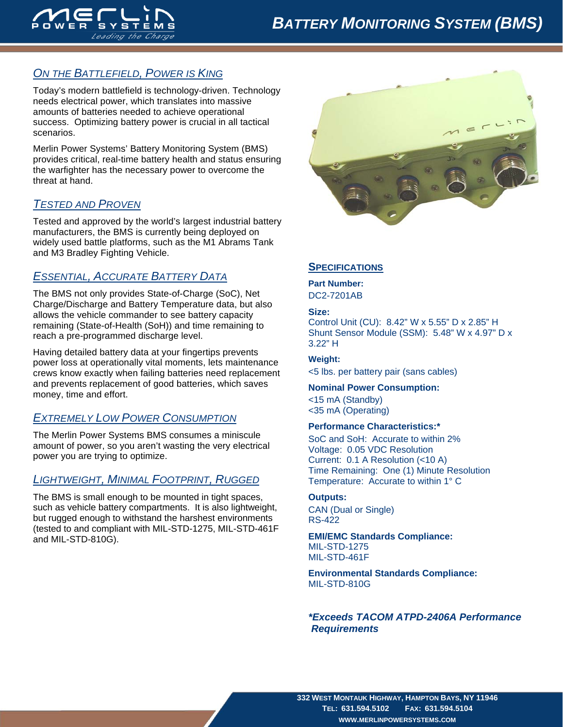

# *ON THE BATTLEFIELD, POWER IS KING*

Today's modern battlefield is technology-driven. Technology needs electrical power, which translates into massive amounts of batteries needed to achieve operational success. Optimizing battery power is crucial in all tactical scenarios.

Merlin Power Systems' Battery Monitoring System (BMS) provides critical, real-time battery health and status ensuring the warfighter has the necessary power to overcome the threat at hand.

## *TESTED AND PROVEN*

Tested and approved by the world's largest industrial battery manufacturers, the BMS is currently being deployed on widely used battle platforms, such as the M1 Abrams Tank and M3 Bradley Fighting Vehicle.

## *ESSENTIAL, ACCURATE BATTERY DATA*

The BMS not only provides State-of-Charge (SoC), Net Charge/Discharge and Battery Temperature data, but also allows the vehicle commander to see battery capacity remaining (State-of-Health (SoH)) and time remaining to reach a pre-programmed discharge level.

Having detailed battery data at your fingertips prevents power loss at operationally vital moments, lets maintenance crews know exactly when failing batteries need replacement and prevents replacement of good batteries, which saves money, time and effort.

## *EXTREMELY LOW POWER CONSUMPTION*

The Merlin Power Systems BMS consumes a miniscule amount of power, so you aren't wasting the very electrical power you are trying to optimize.

## *LIGHTWEIGHT, MINIMAL FOOTPRINT, RUGGED*

The BMS is small enough to be mounted in tight spaces, such as vehicle battery compartments. It is also lightweight, but rugged enough to withstand the harshest environments (tested to and compliant with MIL-STD-1275, MIL-STD-461F and MIL-STD-810G).



### **SPECIFICATIONS**

**Part Number:**  DC2-7201AB

#### **Size:**

Control Unit (CU): 8.42" W x 5.55" D x 2.85" H Shunt Sensor Module (SSM): 5.48" W x 4.97" D x 3.22" H

**Weight:**  <5 lbs. per battery pair (sans cables)

#### **Nominal Power Consumption:**

<15 mA (Standby) <35 mA (Operating)

#### **Performance Characteristics:\***

SoC and SoH: Accurate to within 2% Voltage: 0.05 VDC Resolution Current: 0.1 A Resolution (<10 A) Time Remaining: One (1) Minute Resolution Temperature: Accurate to within 1° C

#### **Outputs:**

CAN (Dual or Single) RS-422

**EMI/EMC Standards Compliance:**  MIL-STD-1275 MIL-STD-461F

**Environmental Standards Compliance:**  MIL-STD-810G

*\*Exceeds TACOM ATPD-2406A Performance Requirements*